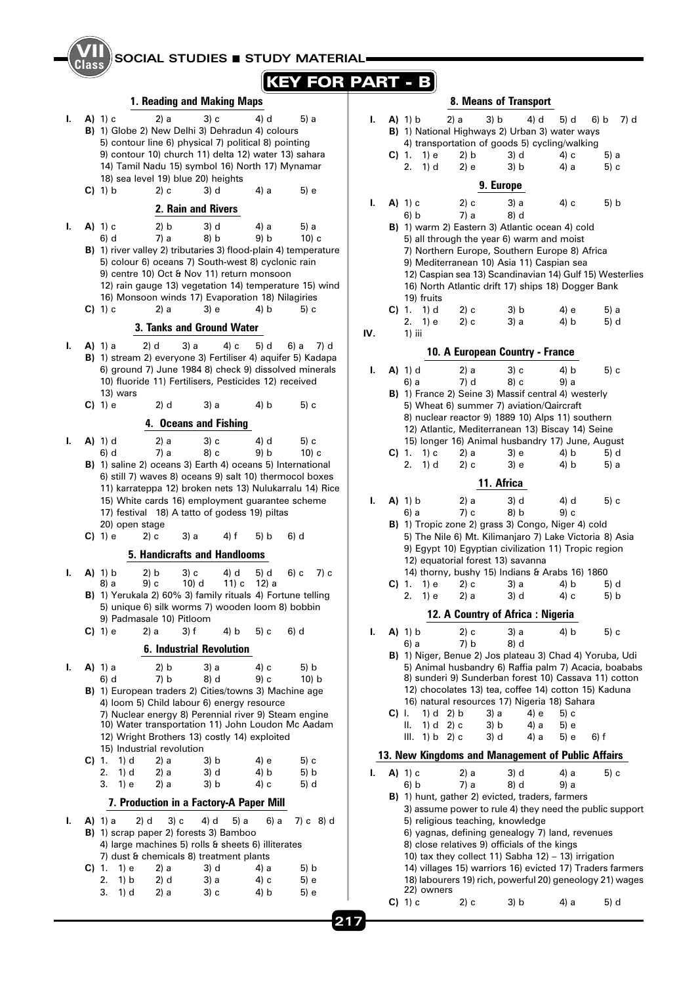|                         | SOCIAL STUDIES <b>STUDY MATERIAL</b>                                                                                                                                                                                                                                                                                                                                              |     |          |                                                       |                      |                                                                                                                                                                                                                                                                                                                                    |                      |                                                         |  |  |  |  |  |
|-------------------------|-----------------------------------------------------------------------------------------------------------------------------------------------------------------------------------------------------------------------------------------------------------------------------------------------------------------------------------------------------------------------------------|-----|----------|-------------------------------------------------------|----------------------|------------------------------------------------------------------------------------------------------------------------------------------------------------------------------------------------------------------------------------------------------------------------------------------------------------------------------------|----------------------|---------------------------------------------------------|--|--|--|--|--|
| <b>KEY FOR PART - B</b> |                                                                                                                                                                                                                                                                                                                                                                                   |     |          |                                                       |                      |                                                                                                                                                                                                                                                                                                                                    |                      |                                                         |  |  |  |  |  |
|                         | 1. Reading and Making Maps                                                                                                                                                                                                                                                                                                                                                        |     |          |                                                       |                      | 8. Means of Transport                                                                                                                                                                                                                                                                                                              |                      |                                                         |  |  |  |  |  |
| I.                      | $A)$ 1) c<br>2) a<br>3) c<br>4) d<br>5) a<br>B) 1) Globe 2) New Delhi 3) Dehradun 4) colours<br>5) contour line 6) physical 7) political 8) pointing<br>9) contour 10) church 11) delta 12) water 13) sahara<br>14) Tamil Nadu 15) symbol 16) North 17) Mynamar<br>18) sea level 19) blue 20) heights                                                                             | L.  |          | $A)$ 1) b<br>1) e<br>$C$ ) 1.<br>2.<br>1) d           | 2) a<br>2) b<br>2) e | 3) b<br>4) d<br>B) 1) National Highways 2) Urban 3) water ways<br>4) transportation of goods 5) cycling/walking<br>3) d<br>3) b<br>9. Europe                                                                                                                                                                                       | 5) d<br>4) c<br>4) a | 6) b<br>7) d<br>5) a<br>5) c                            |  |  |  |  |  |
|                         | $C$ ) 1) b<br>2) c<br>3) d<br>4) a<br>5) e                                                                                                                                                                                                                                                                                                                                        |     |          | $A)$ 1) $c$                                           |                      |                                                                                                                                                                                                                                                                                                                                    |                      |                                                         |  |  |  |  |  |
|                         | 2. Rain and Rivers                                                                                                                                                                                                                                                                                                                                                                | ı.  |          | 6) b                                                  | 2) c<br>7) a         | 3) a<br>8) d                                                                                                                                                                                                                                                                                                                       | 4) c                 | 5) b                                                    |  |  |  |  |  |
| L.                      | $A)$ 1) c<br>2) b<br>3) d<br>4) a<br>5) a<br>8) b<br>9) b<br>6) d<br>7) a<br>$10$ ) c<br><b>B)</b> 1) river valley 2) tributaries 3) flood-plain 4) temperature<br>5) colour 6) oceans 7) South-west 8) cyclonic rain<br>9) centre 10) Oct & Nov 11) return monsoon<br>12) rain gauge 13) vegetation 14) temperature 15) wind<br>16) Monsoon winds 17) Evaporation 18) Nilagiries |     |          | 19) fruits                                            |                      | B) 1) warm 2) Eastern 3) Atlantic ocean 4) cold<br>5) all through the year 6) warm and moist<br>7) Northern Europe, Southern Europe 8) Africa<br>9) Mediterranean 10) Asia 11) Caspian sea<br>12) Caspian sea 13) Scandinavian 14) Gulf 15) Westerlies<br>16) North Atlantic drift 17) ships 18) Dogger Bank                       |                      |                                                         |  |  |  |  |  |
|                         | $C$ ) 1) c<br>2) a<br>3) e<br>4) b<br>5) c                                                                                                                                                                                                                                                                                                                                        |     |          | $C$ ) 1. 1) d<br>2.<br>1) e                           | 2) c<br>2) c         | 3) b<br>3) a                                                                                                                                                                                                                                                                                                                       | 4) e<br>4) b         | 5) a<br>5) d                                            |  |  |  |  |  |
|                         | 3. Tanks and Ground Water                                                                                                                                                                                                                                                                                                                                                         | IV. |          | $1)$ iii                                              |                      |                                                                                                                                                                                                                                                                                                                                    |                      |                                                         |  |  |  |  |  |
| L.                      | $A)$ 1) a<br>2) d<br>3) a<br>4) c<br>5) d<br>6) a<br>7) d<br>B) 1) stream 2) everyone 3) Fertiliser 4) aquifer 5) Kadapa                                                                                                                                                                                                                                                          |     |          |                                                       |                      | 10. A European Country - France                                                                                                                                                                                                                                                                                                    |                      |                                                         |  |  |  |  |  |
|                         | 6) ground 7) June 1984 8) check 9) dissolved minerals                                                                                                                                                                                                                                                                                                                             | L.  |          | $A)$ 1) d                                             | 2) a                 | 3) c                                                                                                                                                                                                                                                                                                                               | 4) b                 | 5) c                                                    |  |  |  |  |  |
|                         | 10) fluoride 11) Fertilisers, Pesticides 12) received<br>13) wars<br>2) d<br>3) a<br>$C$ ) 1) e<br>4) b<br>5) c<br>4. Oceans and Fishing                                                                                                                                                                                                                                          |     |          | 6) a                                                  | 7) d                 | 8) c<br>B) 1) France 2) Seine 3) Massif central 4) westerly<br>5) Wheat 6) summer 7) aviation/Qaircraft<br>8) nuclear reactor 9) 1889 10) Alps 11) southern                                                                                                                                                                        | 9) a                 |                                                         |  |  |  |  |  |
|                         | 2) a<br>3) c<br>4) d                                                                                                                                                                                                                                                                                                                                                              |     |          |                                                       |                      | 12) Atlantic, Mediterranean 13) Biscay 14) Seine<br>15) longer 16) Animal husbandry 17) June, August                                                                                                                                                                                                                               |                      |                                                         |  |  |  |  |  |
| ı.                      | $A)$ 1) d<br>5) c<br>7) a<br>6) d<br>8) c<br>9) b<br>$10$ ) c                                                                                                                                                                                                                                                                                                                     |     |          | $C$ ) 1.<br>1) c                                      | 2) a                 | 3) e                                                                                                                                                                                                                                                                                                                               | 4) b                 | 5) d                                                    |  |  |  |  |  |
|                         | B) 1) saline 2) oceans 3) Earth 4) oceans 5) International                                                                                                                                                                                                                                                                                                                        |     |          | 1) d<br>2.                                            | 2) c                 | 3) e                                                                                                                                                                                                                                                                                                                               | 4) b                 | 5) a                                                    |  |  |  |  |  |
|                         | 6) still 7) waves 8) oceans 9) salt 10) thermocol boxes                                                                                                                                                                                                                                                                                                                           |     |          |                                                       |                      | 11. Africa                                                                                                                                                                                                                                                                                                                         |                      |                                                         |  |  |  |  |  |
|                         | 11) karrateppa 12) broken nets 13) Nulukarralu 14) Rice                                                                                                                                                                                                                                                                                                                           |     |          |                                                       |                      |                                                                                                                                                                                                                                                                                                                                    |                      |                                                         |  |  |  |  |  |
|                         | 15) White cards 16) employment guarantee scheme<br>17) festival 18) A tatto of godess 19) piltas                                                                                                                                                                                                                                                                                  | L.  |          | $A)$ 1) b<br>6) a                                     | 2) a<br>7) c         | 3) d<br>8) b                                                                                                                                                                                                                                                                                                                       | 4) d<br>9) c         | 5) c                                                    |  |  |  |  |  |
|                         | 20) open stage<br>$C$ ) 1) $e$<br>2) c<br>3) a<br>4) f<br>6) d<br>5) b                                                                                                                                                                                                                                                                                                            |     |          |                                                       |                      | <b>B)</b> 1) Tropic zone 2) grass 3) Congo, Niger 4) cold<br>5) The Nile 6) Mt. Kilimanjaro 7) Lake Victoria 8) Asia<br>9) Egypt 10) Egyptian civilization 11) Tropic region                                                                                                                                                       |                      |                                                         |  |  |  |  |  |
|                         | 5. Handicrafts and Handlooms                                                                                                                                                                                                                                                                                                                                                      |     |          |                                                       |                      | 12) equatorial forest 13) savanna                                                                                                                                                                                                                                                                                                  |                      |                                                         |  |  |  |  |  |
| L.                      | $A)$ 1) b<br>2) b<br>3) c<br>4) d<br>5) d<br>6) c<br>7) c<br>9) c<br>$10)$ d<br>11) c 12) a<br>8) a                                                                                                                                                                                                                                                                               |     |          | 1) e                                                  | 2) c                 | 14) thorny, bushy 15) Indians & Arabs 16) 1860                                                                                                                                                                                                                                                                                     |                      |                                                         |  |  |  |  |  |
|                         | B) 1) Yerukala 2) 60% 3) family rituals 4) Fortune telling                                                                                                                                                                                                                                                                                                                        |     |          | $C$ ) 1.<br>1) e<br>2.                                | 2) a                 | 3) a<br>3) d                                                                                                                                                                                                                                                                                                                       | 4) b<br>4) c         | 5) d<br>5) b                                            |  |  |  |  |  |
|                         | 5) unique 6) silk worms 7) wooden loom 8) bobbin                                                                                                                                                                                                                                                                                                                                  |     |          |                                                       |                      | 12. A Country of Africa: Nigeria                                                                                                                                                                                                                                                                                                   |                      |                                                         |  |  |  |  |  |
|                         | 9) Padmasale 10) Pitloom<br>3) f<br>4) b<br>$C(1)$ 1) e<br>2) a<br>5) c<br>6) d                                                                                                                                                                                                                                                                                                   | ı.  |          | $A)$ 1) b                                             | 2) c                 | 3) a                                                                                                                                                                                                                                                                                                                               | 4) b                 | 5) c                                                    |  |  |  |  |  |
|                         | <b>6. Industrial Revolution</b>                                                                                                                                                                                                                                                                                                                                                   |     |          | 6) a                                                  | 7) b                 | 8) d                                                                                                                                                                                                                                                                                                                               |                      |                                                         |  |  |  |  |  |
| L.                      | 2) b<br>3) a<br>4) c<br>5) b<br><b>A)</b> 1) a<br>6) d<br>7) b<br>8) d<br>9) c<br>10) b<br>B) 1) European traders 2) Cities/towns 3) Machine age<br>4) loom 5) Child labour 6) energy resource<br>7) Nuclear energy 8) Perennial river 9) Steam engine<br>10) Water transportation 11) John Loudon Mc Aadam<br>12) Wright Brothers 13) costly 14) exploited                       |     | $C$ ) I. | 1) $d = 2$ ) b<br>Ш.<br>1) d 2) c<br>III. $1) b 2) c$ |                      | B) 1) Niger, Benue 2) Jos plateau 3) Chad 4) Yoruba, Udi<br>5) Animal husbandry 6) Raffia palm 7) Acacia, boababs<br>8) sunderi 9) Sunderban forest 10) Cassava 11) cotton<br>12) chocolates 13) tea, coffee 14) cotton 15) Kaduna<br>16) natural resources 17) Nigeria 18) Sahara<br>4) e<br>3) a<br>3) b<br>4) a<br>3) d<br>4) a | 5) c<br>5) e<br>5) e | 6) f                                                    |  |  |  |  |  |
|                         | 15) Industrial revolution<br>$C$ ) 1.<br>1) d<br>2) a<br>3) b<br>5) c<br>4) e                                                                                                                                                                                                                                                                                                     |     |          |                                                       |                      | 13. New Kingdoms and Management of Public Affairs                                                                                                                                                                                                                                                                                  |                      |                                                         |  |  |  |  |  |
|                         | 2.<br>1) d<br>2) a<br>3) d<br>4) b<br>5) b<br>3.<br>1) e<br>3) b<br>4) с<br>2) a<br>5) d                                                                                                                                                                                                                                                                                          | L.  |          | A) 1) c<br>6) b                                       | 2) a<br>7) a         | 3) d<br>8) d                                                                                                                                                                                                                                                                                                                       | 4) a<br>9) a         | 5) c                                                    |  |  |  |  |  |
|                         | 7. Production in a Factory-A Paper Mill                                                                                                                                                                                                                                                                                                                                           |     |          |                                                       |                      | B) 1) hunt, gather 2) evicted, traders, farmers                                                                                                                                                                                                                                                                                    |                      |                                                         |  |  |  |  |  |
| I.                      | 4) d<br>5) a<br><b>A</b> ) 1) a<br>2) d<br>3) c<br>6) a<br>7) c 8) d<br>B) 1) scrap paper 2) forests 3) Bamboo<br>4) large machines 5) rolls & sheets 6) illiterates<br>7) dust & chemicals 8) treatment plants<br>1) e<br>2) a<br>5) b<br>C) 1.<br>3) d<br>4) a                                                                                                                  |     |          |                                                       |                      | 5) religious teaching, knowledge<br>6) yagnas, defining genealogy 7) land, revenues<br>8) close relatives 9) officials of the kings<br>10) tax they collect 11) Sabha 12) - 13) irrigation<br>14) villages 15) warriors 16) evicted 17) Traders farmers<br>18) labourers 19) rich, powerful 20) geneology 21) wages                |                      | 3) assume power to rule 4) they need the public support |  |  |  |  |  |
|                         | 1) b<br>2) d<br>2.<br>3) a<br>4) с<br>5) e<br>3.<br>1) d<br>2) a<br>3) c<br>4) b<br>5) e                                                                                                                                                                                                                                                                                          |     |          | 22) owners                                            |                      |                                                                                                                                                                                                                                                                                                                                    |                      |                                                         |  |  |  |  |  |
|                         |                                                                                                                                                                                                                                                                                                                                                                                   |     |          | $C$ ) 1) c                                            | 2) c                 | 3) b                                                                                                                                                                                                                                                                                                                               | 4) a                 | 5) d                                                    |  |  |  |  |  |